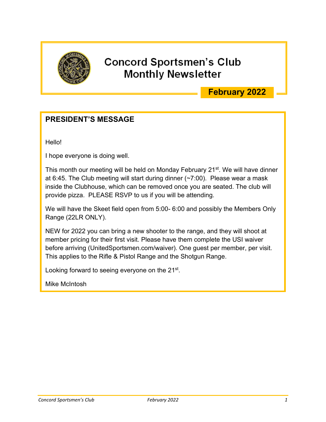

## **Concord Sportsmen's Club Monthly Newsletter**

## **February 2022**

## **PRESIDENT'S MESSAGE**

Hello!

I hope everyone is doing well.

This month our meeting will be held on Monday February 21<sup>st</sup>. We will have dinner at 6:45. The Club meeting will start during dinner (~7:00). Please wear a mask inside the Clubhouse, which can be removed once you are seated. The club will provide pizza. PLEASE RSVP to us if you will be attending.

We will have the Skeet field open from 5:00- 6:00 and possibly the Members Only Range (22LR ONLY).

NEW for 2022 you can bring a new shooter to the range, and they will shoot at member pricing for their first visit. Please have them complete the USI waiver before arriving (UnitedSportsmen.com/waiver). One guest per member, per visit. This applies to the Rifle & Pistol Range and the Shotgun Range.

Looking forward to seeing everyone on the 21st.

Mike McIntosh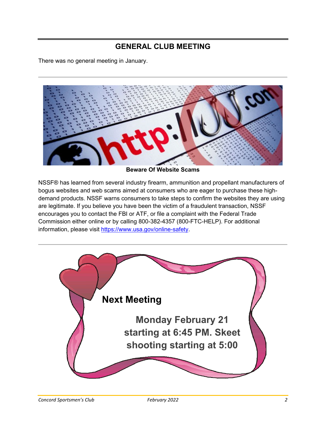## **GENERAL CLUB MEETING**

There was no general meeting in January.



**Beware Of Website Scams**

NSSF® has learned from several industry firearm, ammunition and propellant manufacturers of bogus websites and web scams aimed at consumers who are eager to purchase these highdemand products. NSSF warns consumers to take steps to confirm the websites they are using are legitimate. If you believe you have been the victim of a fraudulent transaction, NSSF encourages you to contact the FBI or ATF, or file a complaint with the Federal Trade Commission either online or by calling 800-382-4357 (800-FTC-HELP). For additional information, please visit [https://www.usa.gov/online-safety.](https://www.usa.gov/online-safety)